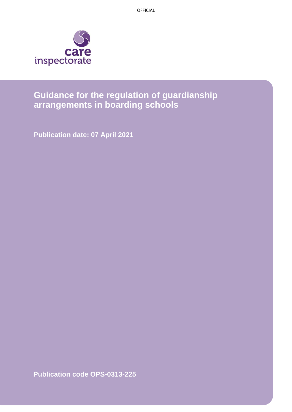OFFICIAL



# **Guidance for the regulation of guardianship arrangements in boarding schools**

**Publication date: 07 April 2021**

**Publication code OPS-0313-225**

Page 1 of 6 Guidance for the regulation of guardianship arrangements in boarding schools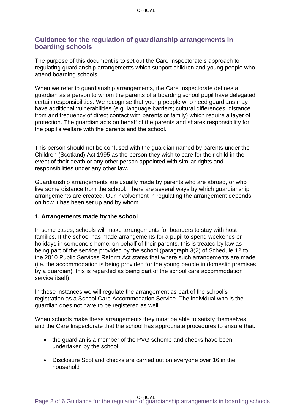### **Guidance for the regulation of guardianship arrangements in boarding schools**

The purpose of this document is to set out the Care Inspectorate's approach to regulating guardianship arrangements which support children and young people who attend boarding schools.

When we refer to guardianship arrangements, the Care Inspectorate defines a guardian as a person to whom the parents of a boarding school pupil have delegated certain responsibilities. We recognise that young people who need guardians may have additional vulnerabilities (e.g. language barriers; cultural differences; distance from and frequency of direct contact with parents or family) which require a layer of protection. The guardian acts on behalf of the parents and shares responsibility for the pupil's welfare with the parents and the school.

This person should not be confused with the guardian named by parents under the Children (Scotland) Act 1995 as the person they wish to care for their child in the event of their death or any other person appointed with similar rights and responsibilities under any other law.

Guardianship arrangements are usually made by parents who are abroad, or who live some distance from the school. There are several ways by which guardianship arrangements are created. Our involvement in regulating the arrangement depends on how it has been set up and by whom.

#### **1. Arrangements made by the school**

In some cases, schools will make arrangements for boarders to stay with host families. If the school has made arrangements for a pupil to spend weekends or holidays in someone's home, on behalf of their parents, this is treated by law as being part of the service provided by the school (paragraph 3(2) of Schedule 12 to the 2010 Public Services Reform Act states that where such arrangements are made (i.e. the accommodation is being provided for the young people in domestic premises by a guardian), this is regarded as being part of the school care accommodation service itself).

In these instances we will regulate the arrangement as part of the school's registration as a School Care Accommodation Service. The individual who is the guardian does not have to be registered as well.

When schools make these arrangements they must be able to satisfy themselves and the Care Inspectorate that the school has appropriate procedures to ensure that:

- the quardian is a member of the PVG scheme and checks have been undertaken by the school
- Disclosure Scotland checks are carried out on everyone over 16 in the household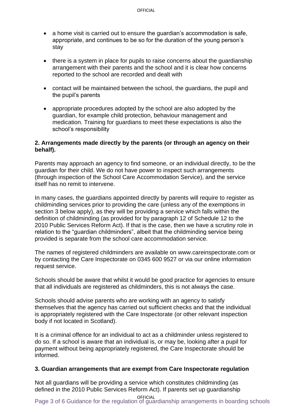- a home visit is carried out to ensure the guardian's accommodation is safe, appropriate, and continues to be so for the duration of the young person's stay
- there is a system in place for pupils to raise concerns about the guardianship arrangement with their parents and the school and it is clear how concerns reported to the school are recorded and dealt with
- contact will be maintained between the school, the guardians, the pupil and the pupil's parents
- appropriate procedures adopted by the school are also adopted by the guardian, for example child protection, behaviour management and medication. Training for guardians to meet these expectations is also the school's responsibility

#### **2. Arrangements made directly by the parents (or through an agency on their behalf).**

Parents may approach an agency to find someone, or an individual directly, to be the guardian for their child. We do not have power to inspect such arrangements (through inspection of the School Care Accommodation Service), and the service itself has no remit to intervene.

In many cases, the guardians appointed directly by parents will require to register as childminding services prior to providing the care (unless any of the exemptions in section 3 below apply), as they will be providing a service which falls within the definition of childminding (as provided for by paragraph 12 of Schedule 12 to the 2010 Public Services Reform Act). If that is the case, then we have a scrutiny role in relation to the "guardian childminders", albeit that the childminding service being provided is separate from the school care accommodation service.

The names of registered childminders are available on www.careinspectorate.com or by contacting the Care Inspectorate on 0345 600 9527 or via our online information request service.

Schools should be aware that whilst it would be good practice for agencies to ensure that all individuals are registered as childminders, this is not always the case.

Schools should advise parents who are working with an agency to satisfy themselves that the agency has carried out sufficient checks and that the individual is appropriately registered with the Care Inspectorate (or other relevant inspection body if not located in Scotland).

It is a criminal offence for an individual to act as a childminder unless registered to do so. If a school is aware that an individual is, or may be, looking after a pupil for payment without being appropriately registered, the Care Inspectorate should be informed.

#### **3. Guardian arrangements that are exempt from Care Inspectorate regulation**

Not all guardians will be providing a service which constitutes childminding (as defined in the 2010 Public Services Reform Act). If parents set up guardianship

Page 3 of 6 Guidance for the regulation of guardianship arrangements in boarding schools OFFICIAL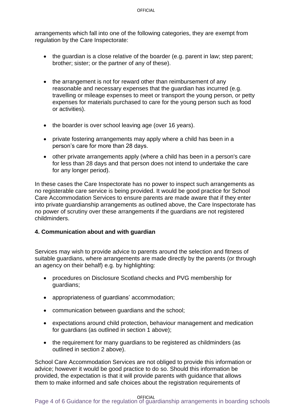arrangements which fall into one of the following categories, they are exempt from regulation by the Care Inspectorate:

- the guardian is a close relative of the boarder (e.g. parent in law; step parent; brother; sister; or the partner of any of these).
- the arrangement is not for reward other than reimbursement of any reasonable and necessary expenses that the guardian has incurred (e.g. travelling or mileage expenses to meet or transport the young person, or petty expenses for materials purchased to care for the young person such as food or activities).
- the boarder is over school leaving age (over 16 years).
- private fostering arrangements may apply where a child has been in a person's care for more than 28 days.
- other private arrangements apply (where a child has been in a person's care for less than 28 days and that person does not intend to undertake the care for any longer period).

In these cases the Care Inspectorate has no power to inspect such arrangements as no registerable care service is being provided. It would be good practice for School Care Accommodation Services to ensure parents are made aware that if they enter into private guardianship arrangements as outlined above, the Care Inspectorate has no power of scrutiny over these arrangements if the guardians are not registered childminders.

#### **4. Communication about and with guardian**

Services may wish to provide advice to parents around the selection and fitness of suitable guardians, where arrangements are made directly by the parents (or through an agency on their behalf) e.g. by highlighting:

- procedures on Disclosure Scotland checks and PVG membership for guardians;
- appropriateness of guardians' accommodation;
- communication between quardians and the school:
- expectations around child protection, behaviour management and medication for guardians (as outlined in section 1 above);
- the requirement for many guardians to be registered as childminders (as outlined in section 2 above).

School Care Accommodation Services are not obliged to provide this information or advice; however it would be good practice to do so. Should this information be provided, the expectation is that it will provide parents with guidance that allows them to make informed and safe choices about the registration requirements of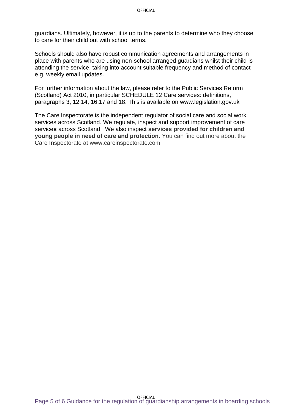guardians. Ultimately, however, it is up to the parents to determine who they choose to care for their child out with school terms.

Schools should also have robust communication agreements and arrangements in place with parents who are using non-school arranged guardians whilst their child is attending the service, taking into account suitable frequency and method of contact e.g. weekly email updates.

For further information about the law, please refer to the Public Services Reform (Scotland) Act 2010, in particular SCHEDULE 12 Care services: definitions, paragraphs 3, 12,14, 16,17 and 18. This is available on www.legislation.gov.uk

The Care Inspectorate is the independent regulator of social care and social work services across Scotland. We regulate, inspect and support improvement of care service**s** across Scotland. We also inspect **services provided for children and young people in need of care and protection**. You can find out more about the Care Inspectorate at www.careinspectorate.com